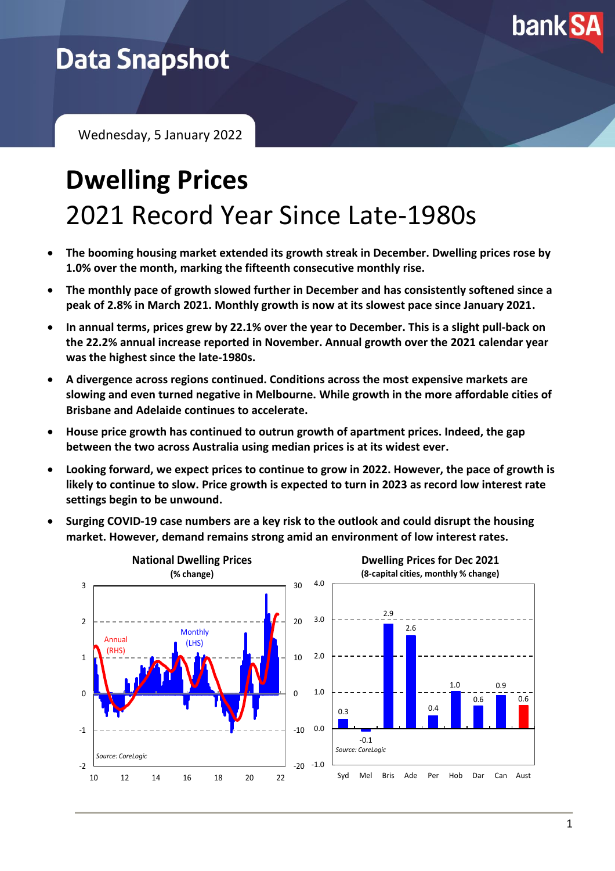

## **Data Snapshot**

Wednesday, 5 January 2022

# **Dwelling Prices** 2021 Record Year Since Late-1980s

- **The booming housing market extended its growth streak in December. Dwelling prices rose by 1.0% over the month, marking the fifteenth consecutive monthly rise.**
- **The monthly pace of growth slowed further in December and has consistently softened since a peak of 2.8% in March 2021. Monthly growth is now at its slowest pace since January 2021.**
- **In annual terms, prices grew by 22.1% over the year to December. This is a slight pull-back on the 22.2% annual increase reported in November. Annual growth over the 2021 calendar year was the highest since the late-1980s.**
- **A divergence across regions continued. Conditions across the most expensive markets are slowing and even turned negative in Melbourne. While growth in the more affordable cities of Brisbane and Adelaide continues to accelerate.**
- **House price growth has continued to outrun growth of apartment prices. Indeed, the gap between the two across Australia using median prices is at its widest ever.**
- **Looking forward, we expect prices to continue to grow in 2022. However, the pace of growth is likely to continue to slow. Price growth is expected to turn in 2023 as record low interest rate settings begin to be unwound.**
- **Surging COVID-19 case numbers are a key risk to the outlook and could disrupt the housing market. However, demand remains strong amid an environment of low interest rates.**

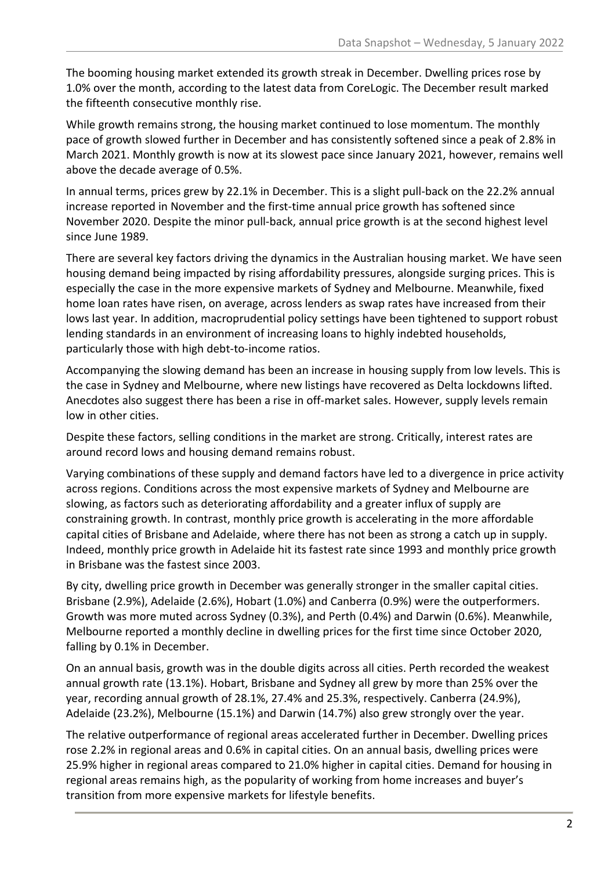The booming housing market extended its growth streak in December. Dwelling prices rose by 1.0% over the month, according to the latest data from CoreLogic. The December result marked the fifteenth consecutive monthly rise.

While growth remains strong, the housing market continued to lose momentum. The monthly pace of growth slowed further in December and has consistently softened since a peak of 2.8% in March 2021. Monthly growth is now at its slowest pace since January 2021, however, remains well above the decade average of 0.5%.

In annual terms, prices grew by 22.1% in December. This is a slight pull-back on the 22.2% annual increase reported in November and the first-time annual price growth has softened since November 2020. Despite the minor pull-back, annual price growth is at the second highest level since June 1989.

There are several key factors driving the dynamics in the Australian housing market. We have seen housing demand being impacted by rising affordability pressures, alongside surging prices. This is especially the case in the more expensive markets of Sydney and Melbourne. Meanwhile, fixed home loan rates have risen, on average, across lenders as swap rates have increased from their lows last year. In addition, macroprudential policy settings have been tightened to support robust lending standards in an environment of increasing loans to highly indebted households, particularly those with high debt-to-income ratios.

Accompanying the slowing demand has been an increase in housing supply from low levels. This is the case in Sydney and Melbourne, where new listings have recovered as Delta lockdowns lifted. Anecdotes also suggest there has been a rise in off-market sales. However, supply levels remain low in other cities.

Despite these factors, selling conditions in the market are strong. Critically, interest rates are around record lows and housing demand remains robust.

Varying combinations of these supply and demand factors have led to a divergence in price activity across regions. Conditions across the most expensive markets of Sydney and Melbourne are slowing, as factors such as deteriorating affordability and a greater influx of supply are constraining growth. In contrast, monthly price growth is accelerating in the more affordable capital cities of Brisbane and Adelaide, where there has not been as strong a catch up in supply. Indeed, monthly price growth in Adelaide hit its fastest rate since 1993 and monthly price growth in Brisbane was the fastest since 2003.

By city, dwelling price growth in December was generally stronger in the smaller capital cities. Brisbane (2.9%), Adelaide (2.6%), Hobart (1.0%) and Canberra (0.9%) were the outperformers. Growth was more muted across Sydney (0.3%), and Perth (0.4%) and Darwin (0.6%). Meanwhile, Melbourne reported a monthly decline in dwelling prices for the first time since October 2020, falling by 0.1% in December.

On an annual basis, growth was in the double digits across all cities. Perth recorded the weakest annual growth rate (13.1%). Hobart, Brisbane and Sydney all grew by more than 25% over the year, recording annual growth of 28.1%, 27.4% and 25.3%, respectively. Canberra (24.9%), Adelaide (23.2%), Melbourne (15.1%) and Darwin (14.7%) also grew strongly over the year.

The relative outperformance of regional areas accelerated further in December. Dwelling prices rose 2.2% in regional areas and 0.6% in capital cities. On an annual basis, dwelling prices were 25.9% higher in regional areas compared to 21.0% higher in capital cities. Demand for housing in regional areas remains high, as the popularity of working from home increases and buyer's transition from more expensive markets for lifestyle benefits.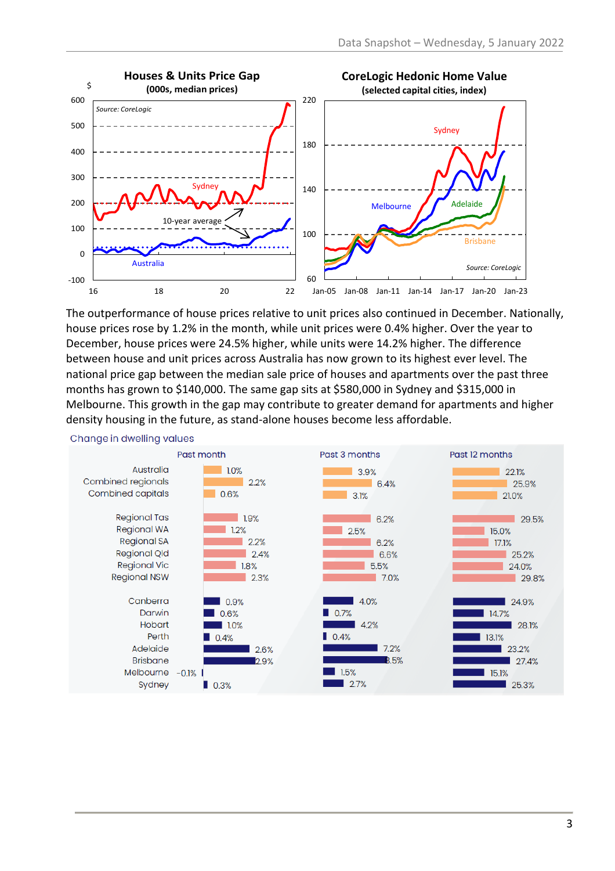

The outperformance of house prices relative to unit prices also continued in December. Nationally, house prices rose by 1.2% in the month, while unit prices were 0.4% higher. Over the year to December, house prices were 24.5% higher, while units were 14.2% higher. The difference between house and unit prices across Australia has now grown to its highest ever level. The national price gap between the median sale price of houses and apartments over the past three months has grown to \$140,000. The same gap sits at \$580,000 in Sydney and \$315,000 in Melbourne. This growth in the gap may contribute to greater demand for apartments and higher density housing in the future, as stand-alone houses become less affordable.



#### Change in dwelling values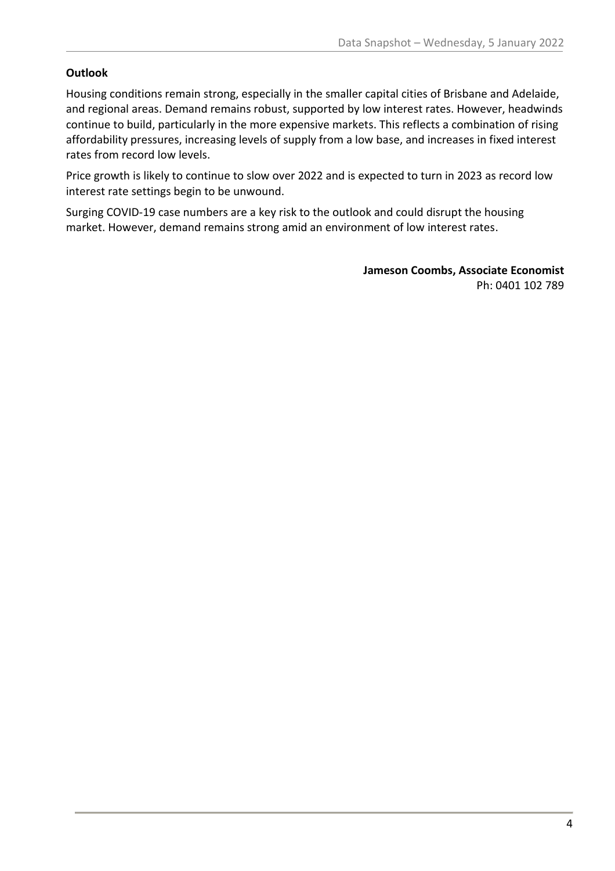#### **Outlook**

Housing conditions remain strong, especially in the smaller capital cities of Brisbane and Adelaide, and regional areas. Demand remains robust, supported by low interest rates. However, headwinds continue to build, particularly in the more expensive markets. This reflects a combination of rising affordability pressures, increasing levels of supply from a low base, and increases in fixed interest rates from record low levels.

Price growth is likely to continue to slow over 2022 and is expected to turn in 2023 as record low interest rate settings begin to be unwound.

Surging COVID-19 case numbers are a key risk to the outlook and could disrupt the housing market. However, demand remains strong amid an environment of low interest rates.

> **Jameson Coombs, Associate Economist** Ph: 0401 102 789